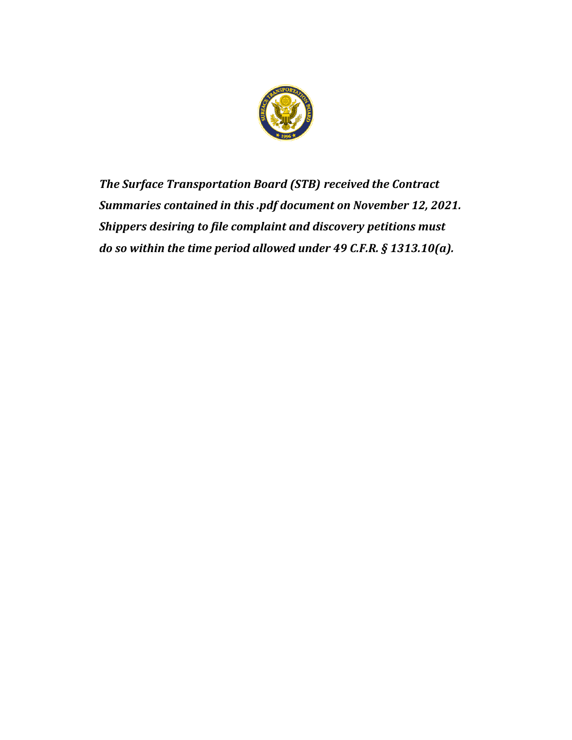

*The Surface Transportation Board (STB) received the Contract Summaries contained in this .pdf document on November 12, 2021. Shippers desiring to file complaint and discovery petitions must do so within the time period allowed under 49 C.F.R. § 1313.10(a).*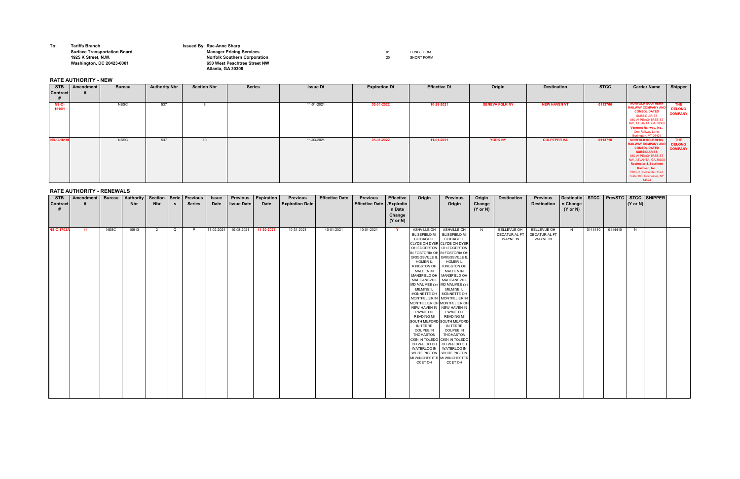**To: Tariffs Branch Issued By: Rae-Anne Sharp**

## **Surface Transportation Board National Conduct of Conduction Manager Pricing Services And American Conduct of Conduction Conduct Conduct Conduct And LONG FORM 1925 K Street, N.W. Norfolk Southern Corporation** 20 SHORT FORM **Washington, DC 20423-0001 650 West Peachtree Street NW Atlanta, GA 30308**

## **RATE AUTHORITY - NEW**

## **RATE AUTHORITY - RENEWALS**

| <b>STB</b><br><b>Contract</b> | <b>Amendment</b> | <b>Bureau</b> | <b>Authority</b><br><b>Nbr</b> | Section   Serie<br><b>Nbr</b> | - S         | <b>Previous</b><br><b>Series</b> | <b>Issue</b><br><b>Date</b> | <b>Previous</b><br><b>Issue Date</b> | <b>Expiration</b><br><b>Date</b> | <b>Previous</b><br><b>Expiration Date</b> | <b>Effective Date</b> | <b>Previous</b><br><b>Effective Date</b> | <b>Effective</b><br>/Expiratio | Origin                                                   | <b>Previous</b><br>Origin       | Origin<br>Change    | <b>Destination</b> | <b>Previous</b><br><b>Destination</b> | <b>Destinatio</b><br>n Change | <b>STCC</b> | <b>PrevSTC</b> | $(Y \text{ or } N)$ | STCC SHIPPER |  |
|-------------------------------|------------------|---------------|--------------------------------|-------------------------------|-------------|----------------------------------|-----------------------------|--------------------------------------|----------------------------------|-------------------------------------------|-----------------------|------------------------------------------|--------------------------------|----------------------------------------------------------|---------------------------------|---------------------|--------------------|---------------------------------------|-------------------------------|-------------|----------------|---------------------|--------------|--|
|                               |                  |               |                                |                               |             |                                  |                             |                                      |                                  |                                           |                       |                                          | n Date                         |                                                          |                                 | $(Y \text{ or } N)$ |                    |                                       | $(Y \text{ or } N)$           |             |                |                     |              |  |
|                               |                  |               |                                |                               |             |                                  |                             |                                      |                                  |                                           |                       |                                          | Change<br>$(Y \text{ or } N)$  |                                                          |                                 |                     |                    |                                       |                               |             |                |                     |              |  |
| <b>NS-C-1702A</b>             | 11               | <b>NSSC</b>   | 10913                          | $\overline{2}$                | $\mathsf Q$ | P                                | 11-02-2021                  | 10-08-2021                           | 11-30-2021                       | 10-31-2021                                | 10-01-2021            | 10-01-2021                               | $\mathbf{Y}$                   | ASHVILLE OH                                              | ASHVILLE OH                     | N                   | BELLEVUE OH        | <b>BELLEVUE OH</b>                    | N                             | 0114410     | 0114410        | N                   |              |  |
|                               |                  |               |                                |                               |             |                                  |                             |                                      |                                  |                                           |                       |                                          |                                | <b>BLISSFIELD MI</b>                                     | <b>BLISSFIELD MI</b>            |                     | DECATUR AL FT      | <b>DECATUR AL FT</b>                  |                               |             |                |                     |              |  |
|                               |                  |               |                                |                               |             |                                  |                             |                                      |                                  |                                           |                       |                                          |                                | CHICAGO IL<br>CLYDE OH DYER CLYDE OH DYER                | <b>CHICAGO IL</b>               |                     | <b>WAYNE IN</b>    | <b>WAYNE IN</b>                       |                               |             |                |                     |              |  |
|                               |                  |               |                                |                               |             |                                  |                             |                                      |                                  |                                           |                       |                                          |                                | OH EDGERTON   OH EDGERTON                                |                                 |                     |                    |                                       |                               |             |                |                     |              |  |
|                               |                  |               |                                |                               |             |                                  |                             |                                      |                                  |                                           |                       |                                          |                                | GRIGGSVILLE IL GRIGGSVILLE IL                            | IN FOSTORIA OH IN FOSTORIA OH   |                     |                    |                                       |                               |             |                |                     |              |  |
|                               |                  |               |                                |                               |             |                                  |                             |                                      |                                  |                                           |                       |                                          |                                | <b>HOMER IL</b>                                          | <b>HOMER IL</b>                 |                     |                    |                                       |                               |             |                |                     |              |  |
|                               |                  |               |                                |                               |             |                                  |                             |                                      |                                  |                                           |                       |                                          |                                | KINGSTON OH<br><b>MALDEN IN</b>                          | KINGSTON OH<br><b>MALDEN IN</b> |                     |                    |                                       |                               |             |                |                     |              |  |
|                               |                  |               |                                |                               |             |                                  |                             |                                      |                                  |                                           |                       |                                          |                                | MANSFIELD OH<br>MAUGANSVILL                              | MANSFIELD OH<br>MAUGANSVILL     |                     |                    |                                       |                               |             |                |                     |              |  |
|                               |                  |               |                                |                               |             |                                  |                             |                                      |                                  |                                           |                       |                                          |                                |                                                          | MD MAUMEE OH MD MAUMEE OH       |                     |                    |                                       |                               |             |                |                     |              |  |
|                               |                  |               |                                |                               |             |                                  |                             |                                      |                                  |                                           |                       |                                          |                                | <b>MILMINE IL</b><br>MONNETTE OH   MONNETTE OH           | <b>MILMINE IL</b>               |                     |                    |                                       |                               |             |                |                     |              |  |
|                               |                  |               |                                |                               |             |                                  |                             |                                      |                                  |                                           |                       |                                          |                                | MONTPELIER IN   MONTPELIER IN                            |                                 |                     |                    |                                       |                               |             |                |                     |              |  |
|                               |                  |               |                                |                               |             |                                  |                             |                                      |                                  |                                           |                       |                                          |                                | MONTPELIER OH MONTPELIER OH<br>NEW HAVEN IN NEW HAVEN IN |                                 |                     |                    |                                       |                               |             |                |                     |              |  |
|                               |                  |               |                                |                               |             |                                  |                             |                                      |                                  |                                           |                       |                                          |                                | PAYNE OH                                                 | PAYNE OH                        |                     |                    |                                       |                               |             |                |                     |              |  |
|                               |                  |               |                                |                               |             |                                  |                             |                                      |                                  |                                           |                       |                                          |                                | <b>READING MI</b><br>SOUTH MILFORD SOUTH MILFORD         | <b>READING MI</b>               |                     |                    |                                       |                               |             |                |                     |              |  |
|                               |                  |               |                                |                               |             |                                  |                             |                                      |                                  |                                           |                       |                                          |                                | IN TERRE<br><b>COUPEE IN</b>                             | IN TERRE<br><b>COUPEE IN</b>    |                     |                    |                                       |                               |             |                |                     |              |  |
|                               |                  |               |                                |                               |             |                                  |                             |                                      |                                  |                                           |                       |                                          |                                | THOMASTON                                                | <b>THOMASTON</b>                |                     |                    |                                       |                               |             |                |                     |              |  |
|                               |                  |               |                                |                               |             |                                  |                             |                                      |                                  |                                           |                       |                                          |                                | CKIN IN TOLEDO CKIN IN TOLEDO<br>OH WALDO OH             | OH WALDO OH                     |                     |                    |                                       |                               |             |                |                     |              |  |
|                               |                  |               |                                |                               |             |                                  |                             |                                      |                                  |                                           |                       |                                          |                                | WATERLOO IN WATERLOO IN                                  |                                 |                     |                    |                                       |                               |             |                |                     |              |  |
|                               |                  |               |                                |                               |             |                                  |                             |                                      |                                  |                                           |                       |                                          |                                | WHITE PIGEON   WHITE PIGEON<br>MI WINCHESTER             | MI WINCHESTER                   |                     |                    |                                       |                               |             |                |                     |              |  |
|                               |                  |               |                                |                               |             |                                  |                             |                                      |                                  |                                           |                       |                                          |                                | CCET OH                                                  | CCET OH                         |                     |                    |                                       |                               |             |                |                     |              |  |
|                               |                  |               |                                |                               |             |                                  |                             |                                      |                                  |                                           |                       |                                          |                                |                                                          |                                 |                     |                    |                                       |                               |             |                |                     |              |  |
|                               |                  |               |                                |                               |             |                                  |                             |                                      |                                  |                                           |                       |                                          |                                |                                                          |                                 |                     |                    |                                       |                               |             |                |                     |              |  |
|                               |                  |               |                                |                               |             |                                  |                             |                                      |                                  |                                           |                       |                                          |                                |                                                          |                                 |                     |                    |                                       |                               |             |                |                     |              |  |
|                               |                  |               |                                |                               |             |                                  |                             |                                      |                                  |                                           |                       |                                          |                                |                                                          |                                 |                     |                    |                                       |                               |             |                |                     |              |  |

| <b>STB</b><br><b>Contract</b> | <b>Amendment</b> | <b>Bureau</b> | <b>Authority Nbr</b> | <b>Section Nbr</b> | <b>Series</b> | <b>Issue Dt</b> | <b>Expiration Dt</b> | <b>Effective Dt</b> | Origin                | <b>Destination</b>  | <b>STCC</b> | <b>Carrier Name</b>                                                                                                                                                                                                                                                      | <b>Shipper</b>                                |
|-------------------------------|------------------|---------------|----------------------|--------------------|---------------|-----------------|----------------------|---------------------|-----------------------|---------------------|-------------|--------------------------------------------------------------------------------------------------------------------------------------------------------------------------------------------------------------------------------------------------------------------------|-----------------------------------------------|
| NS-C-<br>1610H                |                  | <b>NSSC</b>   | 537                  |                    |               | 11-01-2021      | 05-31-2022           | 10-29-2021          | <b>GENEVA FGLK NY</b> | <b>NEW HAVEN VT</b> | 0113700     | <b>NORFOLK SOUTHERN</b><br><b>RAILWAY COMPANY AND</b><br><b>CONSOLIDATED</b><br><b>SUBSIDIARIES</b><br>650 W PEACHTREE ST<br>NW, ATLANTA, GA 30308<br>Vermont Railway, Inc.,<br>One Railway Lane,<br>Burlington, VT 05401                                                | <b>THE</b><br><b>DELONG</b><br><b>COMPANY</b> |
| <b>NS-C-16101</b>             |                  | <b>NSSC</b>   | 537                  | 10                 |               | 11-03-2021      | 05-31-2022           | 11-01-2021          | <b>YORK NY</b>        | <b>CULPEPER VA</b>  | 0113710     | <b>NORFOLK SOUTHERN</b><br><b>RAILWAY COMPANY AND</b><br><b>CONSOLIDATED</b><br><b>SUBSIDIARIES</b><br>650 W PEACHTREE ST<br>NW, ATLANTA, GA 30308<br><b>Rochester &amp; Southern</b><br>Railroad, Inc.<br>1200-C Scottsville Road,<br>Suite 200, Rochester, NY<br>14624 | THE<br><b>DELONG</b><br><b>COMPANY</b>        |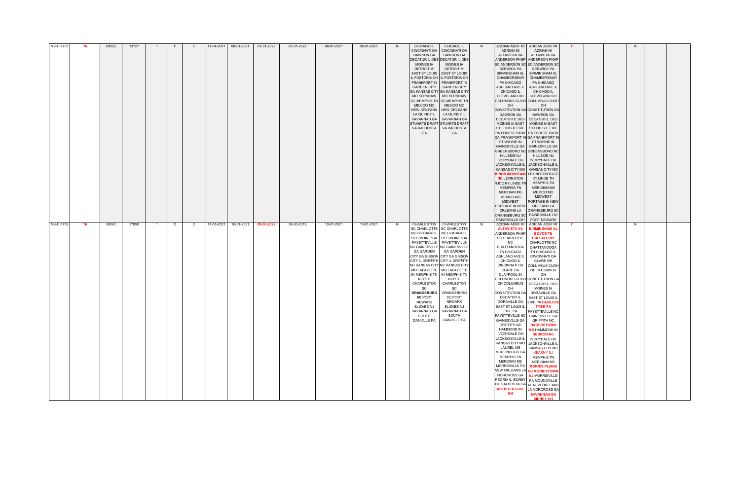| NS-C-1701 | -16  | NSSC | 13727 |   |              | 11-04-2021 | 08-01-2021 | 07-31-2022 | 07-31-2022 | 08-01-2021 | 08-01-2021 |   | <b>CHICAGO IL</b>                                  | <b>CHICAGO IL</b>                             | N. |                                           | ADRIAN ADBF MI ADRIAN ADBF MI                                     |  | <sub>N</sub> |  |
|-----------|------|------|-------|---|--------------|------------|------------|------------|------------|------------|------------|---|----------------------------------------------------|-----------------------------------------------|----|-------------------------------------------|-------------------------------------------------------------------|--|--------------|--|
|           |      |      |       |   |              |            |            |            |            |            |            |   | <b>CINCINNATI OH</b>                               | <b>CINCINNATI OH</b>                          |    | <b>ADRIAN MI</b>                          | <b>ADRIAN MI</b>                                                  |  |              |  |
|           |      |      |       |   |              |            |            |            |            |            |            |   | DAWSON GA                                          | DAWSON GA                                     |    | ALTAVISTA VA                              | ALTAVISTA VA                                                      |  |              |  |
|           |      |      |       |   |              |            |            |            |            |            |            |   | DECATUR IL DES DECATUR IL DES                      |                                               |    |                                           | ANDERSON PKHP ANDERSON PKHP                                       |  |              |  |
|           |      |      |       |   |              |            |            |            |            |            |            |   | <b>MOINES IA</b>                                   | MOINES IA                                     |    |                                           | SC ANDERSON SC SC ANDERSON SC                                     |  |              |  |
|           |      |      |       |   |              |            |            |            |            |            |            |   | <b>DETROIT MI</b><br>EAST ST LOUIS   EAST ST LOUIS | <b>DETROIT MI</b>                             |    | <b>BERWICK PA</b><br><b>BIRMINGHAM AL</b> | <b>BERWICK PA</b><br><b>BIRMINGHAM AL</b>                         |  |              |  |
|           |      |      |       |   |              |            |            |            |            |            |            |   | IL FOSTORIA OH IL FOSTORIA OH                      |                                               |    | CHAMBERSBUR                               | <b>CHAMBERSBUR</b>                                                |  |              |  |
|           |      |      |       |   |              |            |            |            |            |            |            |   | FRANKFORT IN FRANKFORT IN                          |                                               |    | PA CHICAGO                                | PA CHICAGO                                                        |  |              |  |
|           |      |      |       |   |              |            |            |            |            |            |            |   | <b>GARDEN CITY</b>                                 | <b>GARDEN CITY</b>                            |    | ASHLAND AVE IL                            | ASHLAND AVE IL                                                    |  |              |  |
|           |      |      |       |   |              |            |            |            |            |            |            |   | <b>GA KANSAS CITY GA KANSAS CITY</b>               |                                               |    | <b>CHICAGO IL</b>                         | CHICAGO IL                                                        |  |              |  |
|           |      |      |       |   |              |            |            |            |            |            |            |   | <b>MO KERSHAW</b>                                  | <b>MO KERSHAW</b>                             |    | CLEVELAND OH                              | CLEVELAND OH                                                      |  |              |  |
|           |      |      |       |   |              |            |            |            |            |            |            |   | SC MEMPHIS TN SC MEMPHIS TN                        |                                               |    |                                           | COLUMBUS CUOH COLUMBUS CUOH                                       |  |              |  |
|           |      |      |       |   |              |            |            |            |            |            |            |   | <b>MEXICO MO</b><br>NEW ORLEANS NEW ORLEANS        | <b>MEXICO MO</b>                              |    | OH                                        | OH<br>CONSTITUTION GA CONSTITUTION GA                             |  |              |  |
|           |      |      |       |   |              |            |            |            |            |            |            |   | LA QUINCY IL                                       | LA QUINCY IL                                  |    | <b>DAWSON GA</b>                          | <b>DAWSON GA</b>                                                  |  |              |  |
|           |      |      |       |   |              |            |            |            |            |            |            |   | SAVANNAH GA   SAVANNAH GA                          |                                               |    |                                           | DECATUR IL DES   DECATUR IL DES                                   |  |              |  |
|           |      |      |       |   |              |            |            |            |            |            |            |   | <b>STUARTS DRAFT</b>                               | TSTUARTS DRAFT                                |    |                                           | MOINES IA EAST   MOINES IA EAST                                   |  |              |  |
|           |      |      |       |   |              |            |            |            |            |            |            |   | VA VALDOSTA                                        | VA VALDOSTA                                   |    |                                           | ST LOUIS IL ERIE   ST LOUIS IL ERIE                               |  |              |  |
|           |      |      |       |   |              |            |            |            |            |            |            |   | <b>GA</b>                                          | <b>GA</b>                                     |    |                                           | PA FOREST PARK   PA FOREST PARK                                   |  |              |  |
|           |      |      |       |   |              |            |            |            |            |            |            |   |                                                    |                                               |    |                                           | GA FRANKFORT IN GA FRANKFORT IN                                   |  |              |  |
|           |      |      |       |   |              |            |            |            |            |            |            |   |                                                    |                                               |    | FT WAYNE IN                               | FT WAYNE IN<br>GAINESVILLE GA   GAINESVILLE GA                    |  |              |  |
|           |      |      |       |   |              |            |            |            |            |            |            |   |                                                    |                                               |    |                                           | GREENSBORO NC GREENSBORO NO                                       |  |              |  |
|           |      |      |       |   |              |            |            |            |            |            |            |   |                                                    |                                               |    | HILLSIDE NJ                               | <b>HILLSIDE NJ</b>                                                |  |              |  |
|           |      |      |       |   |              |            |            |            |            |            |            |   |                                                    |                                               |    | <b>IVORYDALE OH</b>                       | <b>IVORYDALE OH</b>                                               |  |              |  |
|           |      |      |       |   |              |            |            |            |            |            |            |   |                                                    |                                               |    |                                           | JACKSONVILLE IL JACKSONVILLE IL                                   |  |              |  |
|           |      |      |       |   |              |            |            |            |            |            |            |   |                                                    |                                               |    |                                           | KANSAS CITY MO   KANSAS CITY MO                                   |  |              |  |
|           |      |      |       |   |              |            |            |            |            |            |            |   |                                                    |                                               |    |                                           | KINGS MOUNTAIN LEXINGTON RJCC                                     |  |              |  |
|           |      |      |       |   |              |            |            |            |            |            |            |   |                                                    |                                               |    | <b>NC LEXINGTON</b><br>RJCC KY LINDE TN   | KY LINDE TN<br><b>MEMPHIS TN</b>                                  |  |              |  |
|           |      |      |       |   |              |            |            |            |            |            |            |   |                                                    |                                               |    | <b>MEMPHIS TN</b>                         | <b>MERIDIAN MS</b>                                                |  |              |  |
|           |      |      |       |   |              |            |            |            |            |            |            |   |                                                    |                                               |    | <b>MERIDIAN MS</b>                        | <b>MEXICO MO</b>                                                  |  |              |  |
|           |      |      |       |   |              |            |            |            |            |            |            |   |                                                    |                                               |    | <b>MEXICO MO</b>                          | <b>MIDWEST</b>                                                    |  |              |  |
|           |      |      |       |   |              |            |            |            |            |            |            |   |                                                    |                                               |    | MIDWEST                                   | PORTAGE IN NEW                                                    |  |              |  |
|           |      |      |       |   |              |            |            |            |            |            |            |   |                                                    |                                               |    | PORTAGE IN NEW                            | ORLEANS LA                                                        |  |              |  |
|           |      |      |       |   |              |            |            |            |            |            |            |   |                                                    |                                               |    | ORLEANS LA                                | <b>ORANGEBURG SC</b><br>ORANGEBURG SC PAINESVILLE OH              |  |              |  |
|           |      |      |       |   |              |            |            |            |            |            |            |   |                                                    |                                               |    | PAINESVILLE OH                            | <b>PORT NEWARK</b>                                                |  |              |  |
|           |      |      |       |   |              |            |            |            |            |            |            |   |                                                    |                                               |    |                                           |                                                                   |  |              |  |
| NS-C-1700 | - 16 | NSSC | 17050 | D | $\mathbf{C}$ | 11-05-2021 | 10-31-2021 | 09-30-2022 | 09-30-2019 | 10-01-2021 | 10-01-2021 | N | CHARLESTON   CHARLESTON                            |                                               | N. |                                           | ADRIAN ADBF MI ADRIAN ADBF MI                                     |  | N.           |  |
|           |      |      |       |   |              |            |            |            |            |            |            |   |                                                    | SC CHARLOTTE SC CHARLOTTE                     |    | <b>ALTAVISTA VA</b>                       | <b>BIRMINGHAM AL</b>                                              |  |              |  |
|           |      |      |       |   |              |            |            |            |            |            |            |   | NC CHICAGO IL NC CHICAGO IL                        |                                               |    |                                           | ANDERSON PKHP BOYCE TN                                            |  |              |  |
|           |      |      |       |   |              |            |            |            |            |            |            |   | DES MOINES IA DES MOINES IA                        |                                               |    |                                           | SC CHARLOTTE BUFFALO NY                                           |  |              |  |
|           |      |      |       |   |              |            |            |            |            |            |            |   | FAYETTEVILLE FAYETTEVILLE                          |                                               |    | NC                                        | CHARLOTTE NC                                                      |  |              |  |
|           |      |      |       |   |              |            |            |            |            |            |            |   | NC GAINESVILLE NC GAINESVILLE<br><b>GA GARDEN</b>  | <b>GA GARDEN</b>                              |    | CHATTANOOGA<br>TN CHICAGO                 | CHATTANOOGA<br>TN CHICAGO IL                                      |  |              |  |
|           |      |      |       |   |              |            |            |            |            |            |            |   | CITY GA GIBSON CITY GA GIBSON                      |                                               |    | ASHLAND AVE IL                            | <b>CINCINNATI OH</b>                                              |  |              |  |
|           |      |      |       |   |              |            |            |            |            |            |            |   | CITY IL GRIFFITH CITY IL GRIFFITH                  |                                               |    | <b>CHICAGO IL</b>                         | <b>CLARE OH</b>                                                   |  |              |  |
|           |      |      |       |   |              |            |            |            |            |            |            |   |                                                    | NC KANSAS CITY NC KANSAS CITY                 |    | <b>CINCINNATI OH</b>                      | <b>COLUMBUS CUOH</b>                                              |  |              |  |
|           |      |      |       |   |              |            |            |            |            |            |            |   | MO LAFAYETTE   MO LAFAYETTE                        |                                               |    | CLARE OH                                  | OH COLUMBUS                                                       |  |              |  |
|           |      |      |       |   |              |            |            |            |            |            |            |   | <b>NORTH</b>                                       | IN MEMPHIS TN   IN MEMPHIS TN<br><b>NORTH</b> |    | <b>CLAYPOOL IN</b>                        | OH<br>COLUMBUS CUOH CONSTITUTION GA                               |  |              |  |
|           |      |      |       |   |              |            |            |            |            |            |            |   |                                                    | CHARLESTON   CHARLESTON                       |    |                                           | OH COLUMBUS   DECATUR IL DES                                      |  |              |  |
|           |      |      |       |   |              |            |            |            |            |            |            |   | <b>SC</b>                                          | SC                                            |    | OH                                        | <b>MOINES IA</b>                                                  |  |              |  |
|           |      |      |       |   |              |            |            |            |            |            |            |   |                                                    | ORANGEBURG   ORANGEBURG                       |    |                                           | CONSTITUTION GA DORAVILLE GA                                      |  |              |  |
|           |      |      |       |   |              |            |            |            |            |            |            |   | <b>SC PORT</b>                                     | SC PORT                                       |    | <b>DECATUR IL</b>                         | <b>EAST ST LOUIS IL</b>                                           |  |              |  |
|           |      |      |       |   |              |            |            |            |            |            |            |   | NEWARK<br>ELIZABE NJ                               | NEWARK<br>ELIZABE NJ                          |    | EAST ST LOUIS IL                          | DORAVILLE GA ERIE PA FAIRLESS<br><b>TYBR PA</b>                   |  |              |  |
|           |      |      |       |   |              |            |            |            |            |            |            |   | SAVANNAH GA                                        | SAVANNAH GA                                   |    | <b>ERIE PA</b>                            | <b>FAYETTEVILLE NC</b>                                            |  |              |  |
|           |      |      |       |   |              |            |            |            |            |            |            |   | SOUTH                                              | SOUTH                                         |    |                                           | <b>FAYETTEVILLE NC</b> GAINESVILLE GA                             |  |              |  |
|           |      |      |       |   |              |            |            |            |            |            |            |   | DANVILLE PA                                        | DANVILLE PA                                   |    | GAINESVILLE GA                            | <b>GRIFFITH NC</b>                                                |  |              |  |
|           |      |      |       |   |              |            |            |            |            |            |            |   |                                                    |                                               |    | <b>GRIFFITH NC</b>                        | <b>HAGERSTOWN</b>                                                 |  |              |  |
|           |      |      |       |   |              |            |            |            |            |            |            |   |                                                    |                                               |    | <b>HAMMOND IN</b>                         | <b>MD HAMMOND IN</b>                                              |  |              |  |
|           |      |      |       |   |              |            |            |            |            |            |            |   |                                                    |                                               |    | <b>IVORYDALE OH</b><br>JACKSONVILLE IL    | <b>HEBRON NC</b>                                                  |  |              |  |
|           |      |      |       |   |              |            |            |            |            |            |            |   |                                                    |                                               |    | KANSAS CITY MO                            | <b>IVORYDALE OH</b><br>JACKSONVILLE IL                            |  |              |  |
|           |      |      |       |   |              |            |            |            |            |            |            |   |                                                    |                                               |    | <b>LAUREL MS</b>                          | KANSAS CITY MO                                                    |  |              |  |
|           |      |      |       |   |              |            |            |            |            |            |            |   |                                                    |                                               |    | MCDONOUGH GA                              | <b>KEARNY NJ</b>                                                  |  |              |  |
|           |      |      |       |   |              |            |            |            |            |            |            |   |                                                    |                                               |    | <b>MEMPHIS TN</b>                         | <b>MEMPHIS TN</b>                                                 |  |              |  |
|           |      |      |       |   |              |            |            |            |            |            |            |   |                                                    |                                               |    | <b>MERIDIAN MS</b>                        | <b>MERIDIAN MS</b>                                                |  |              |  |
|           |      |      |       |   |              |            |            |            |            |            |            |   |                                                    |                                               |    | MORRISVILLE PA                            | <b>MORRIS PLAINS</b>                                              |  |              |  |
|           |      |      |       |   |              |            |            |            |            |            |            |   |                                                    |                                               |    |                                           | NEW ORLEANS LA NJ MORRISTOWN                                      |  |              |  |
|           |      |      |       |   |              |            |            |            |            |            |            |   |                                                    |                                               |    |                                           | NORCROSS GA NJ MORRISVILLE                                        |  |              |  |
|           |      |      |       |   |              |            |            |            |            |            |            |   |                                                    |                                               |    |                                           | PEORIA IL SIDNEY   PA MOUNDVILLE<br>OH VALDOSTA GA AL NEW ORLEANS |  |              |  |
|           |      |      |       |   |              |            |            |            |            |            |            |   |                                                    |                                               |    |                                           | <b>WOOSTER RJCL</b> LA NORCROSS GA                                |  |              |  |
|           |      |      |       |   |              |            |            |            |            |            |            |   |                                                    |                                               |    | OH                                        | <b>SAVANNAH GA</b><br><b>SIDNEY OH</b>                            |  |              |  |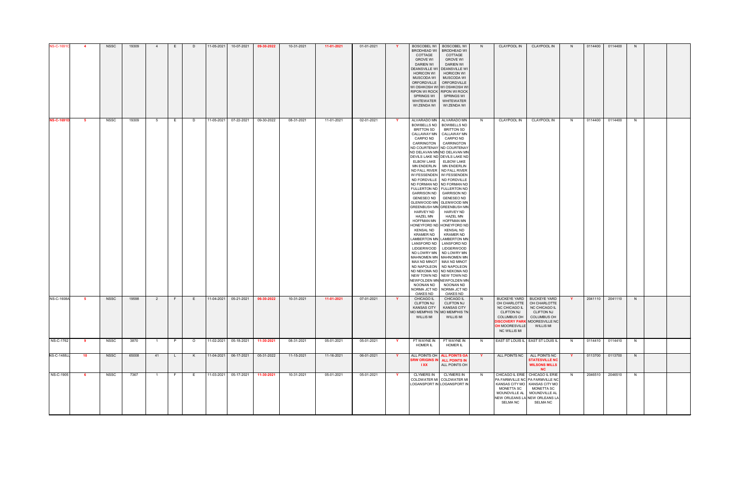| <b>NS-C-16910</b>  |      | <b>NSSC</b> | 19309 |                |          |         | 11-05-2021 | 10-07-2021            | 09-30-2022 | 10-31-2021 | 11-01-2021 | 01-01-2021 |              | <b>BOSCOBEL WI</b><br><b>BRODHEAD WI</b><br>COTTAGE<br><b>GROVE WI</b><br><b>DARIEN WI</b><br>DEANSVILLE WI<br><b>HORICON WI</b><br>MUSCODA WI<br><b>ORFORDVILLE</b><br>WI OSHKOSH WI WI OSHKOSH W<br>RIPON WI ROCK RIPON WI ROCK<br>SPRINGS WI<br>WHITEWATER<br>WI ZENDA WI                                                                                                                                                                                                                                                                                                                                                                                                                                                                                                                                                                                                                                                                                                                                                                     | <b>BOSCOBEL WI</b><br><b>BRODHEAD WI</b><br>COTTAGE<br><b>GROVE WI</b><br>DARIEN WI<br><b>DEANSVILLE WI</b><br><b>HORICON WI</b><br>MUSCODA WI<br>ORFORDVILLE<br>SPRINGS WI<br>WHITEWATER<br>WI ZENDA WI | N        | <b>CLAYPOOL IN</b>                                                                                                                                                      | <b>CLAYPOOL IN</b>                                                                                                          |          | 0114400 | 0114400         | N. |  |
|--------------------|------|-------------|-------|----------------|----------|---------|------------|-----------------------|------------|------------|------------|------------|--------------|--------------------------------------------------------------------------------------------------------------------------------------------------------------------------------------------------------------------------------------------------------------------------------------------------------------------------------------------------------------------------------------------------------------------------------------------------------------------------------------------------------------------------------------------------------------------------------------------------------------------------------------------------------------------------------------------------------------------------------------------------------------------------------------------------------------------------------------------------------------------------------------------------------------------------------------------------------------------------------------------------------------------------------------------------|----------------------------------------------------------------------------------------------------------------------------------------------------------------------------------------------------------|----------|-------------------------------------------------------------------------------------------------------------------------------------------------------------------------|-----------------------------------------------------------------------------------------------------------------------------|----------|---------|-----------------|----|--|
| <b>NS-C-1691D</b>  | -5   | NSSC        | 19309 | - 5            | E.       | D       |            | 11-05-2021 07-22-2021 | 09-30-2022 | 08-31-2021 | 11-01-2021 | 02-01-2021 | <b>Y</b>     | ALVARADO MN ALVARADO MN<br>BOWBELLS ND   BOWBELLS ND<br><b>BRITTON SD</b><br>CALLAWAY MN   CALLAWAY MN<br>CARPIO ND<br>CARRINGTON CARRINGTON<br>ND COURTENAY ND COURTENAY<br>ND DELAVAN MN ND DELAVAN MN<br>DEVILS LAKE ND DEVILS LAKE ND<br>ELBOW LAKE   ELBOW LAKE<br>MN ENDERLIN   MN ENDERLIN<br>ND FALL RIVER ND FALL RIVER<br>WI FESSENDEN   WI FESSENDEN<br>ND FORDVILLE ND FORDVILLE<br>ND FORMAN ND ND FORMAN ND<br>FULLERTON ND   FULLERTON ND<br>GARRISON ND GARRISON ND<br>GENESEO ND GENESEO ND<br>GLENWOOD MN GLENWOOD MN<br><b>GREENBUSH MN GREENBUSH MN</b><br>HARVEY ND<br><b>HAZEL MN</b><br><b>HOFFMAN MN</b><br>HONEYFORD ND HONEYFORD ND<br>KENSAL ND<br><b>KRAMER ND</b><br>LAMBERTON MN LAMBERTON MN<br>LANSFORD ND   LANSFORD ND<br>LIDGERWOOD   LIDGERWOOD<br>ND LOWRY MN ND LOWRY MN<br>MAHNOMEN MN   MAHNOMEN MN<br>MAX ND MINOT MAX ND MINOT<br>ND NAPOLEON ND NAPOLEON<br>ND NEKOMA ND ND NEKOMA ND<br>NEW TOWN ND NEW TOWN ND<br>NEWFOLDEN MN NEWFOLDEN MN<br>NOONAN ND<br>NORMA JCT ND   NORMA JCT ND<br>OAKES ND | <b>BRITTON SD</b><br><b>CARPIO ND</b><br>HARVEY ND<br>HAZEL MN<br><b>HOFFMAN MN</b><br>KENSAL ND<br><b>KRAMER ND</b><br>NOONAN ND<br>OAKES ND                                                            | N.       | <b>CLAYPOOL IN</b>                                                                                                                                                      | <b>CLAYPOOL IN</b>                                                                                                          | N.       | 0114400 | 0114400         | N. |  |
| <b>NS-C-1608A</b>  | - 5  | <b>NSSC</b> | 19598 | $\overline{2}$ | F.       | E       |            | 11-04-2021 05-21-2021 | 06-30-2022 | 10-31-2021 | 11-01-2021 | 07-01-2021 | <b>Y</b>     | <b>CHICAGO IL</b><br><b>CLIFTON NJ</b><br><b>KANSAS CITY</b><br><b>MO MEMPHIS TN</b><br><b>WILLIS MI</b>                                                                                                                                                                                                                                                                                                                                                                                                                                                                                                                                                                                                                                                                                                                                                                                                                                                                                                                                         | CHICAGO IL<br><b>CLIFTON NJ</b><br><b>KANSAS CITY</b><br><b>MO MEMPHIS TN</b><br><b>WILLIS MI</b>                                                                                                        | N.       | OH CHARLOTTE<br>NC CHICAGO IL<br><b>CLIFTON NJ</b><br><b>COLUMBUS OH</b><br><b>DISCOVERY PARK</b> MOORESVILLE NC<br><b>OH MOORESVILLE</b><br><b>NC WILLIS MI</b>        | BUCKEYE YARD   BUCKEYE YARD<br>OH CHARLOTTE<br>NC CHICAGO IL<br><b>CLIFTON NJ</b><br><b>COLUMBUS OH</b><br><b>WILLIS MI</b> | <b>Y</b> |         | 2041110 2041110 | N  |  |
| NS-C-1762          | - 9  | NSSC        | 3870  |                | P.       | $\circ$ |            | 11-02-2021 05-18-2021 | 11-30-2021 | 08-31-2021 | 05-01-2021 | 05-01-2021 | <b>Y</b>     | FT WAYNE IN<br><b>HOMER IL</b>                                                                                                                                                                                                                                                                                                                                                                                                                                                                                                                                                                                                                                                                                                                                                                                                                                                                                                                                                                                                                   | FT WAYNE IN<br>HOMER IL                                                                                                                                                                                  | N        |                                                                                                                                                                         | EAST ST LOUIS IL EAST ST LOUIS IL                                                                                           | N.       |         | 0114410 0114410 | N  |  |
| <b>NS-C-1488JJ</b> | - 10 | <b>NSSC</b> | 65008 | 41             | <b>L</b> | K       |            | 11-04-2021 06-17-2021 | 05-31-2022 | 11-15-2021 | 11-16-2021 | 06-01-2021 | $\mathbf{Y}$ | ALL POINTS OH   ALL POINTS GA<br><b>SRW ORIGINS IN ALL POINTS IN</b><br>IXX                                                                                                                                                                                                                                                                                                                                                                                                                                                                                                                                                                                                                                                                                                                                                                                                                                                                                                                                                                      | ALL POINTS OH                                                                                                                                                                                            | <b>Y</b> | ALL POINTS NC                                                                                                                                                           | ALL POINTS NC<br><b>STATESVILLE NC</b><br><b>WILSONS MILLS</b><br><b>NC</b>                                                 | Y.       |         | 0113700 0113700 | N  |  |
| NS-C-1905          | - 6  | <b>NSSC</b> | 7367  |                | - F      | E       |            | 11-03-2021 05-17-2021 | 11-30-2021 | 10-31-2021 | 05-01-2021 | 05-01-2021 | <b>Y</b>     | <b>CLYMERS IN</b><br>COLDWATER MI COLDWATER MI<br>LOGANSPORT IN LOGANSPORT IN                                                                                                                                                                                                                                                                                                                                                                                                                                                                                                                                                                                                                                                                                                                                                                                                                                                                                                                                                                    | <b>CLYMERS IN</b>                                                                                                                                                                                        | N,       | CHICAGO IL ERIE CHICAGO IL ERIE<br>PA FARMVILLE NC PA FARMVILLE NC<br>KANSAS CITY MO   KANSAS CITY MO<br>MONETTA SC<br>NEW ORLEANS LA NEW ORLEANS LA<br><b>SELMA NC</b> | <b>MONETTA SC</b><br>MOUNDVILLE AL   MOUNDVILLE AL<br>SELMA NC                                                              | N.       | 2046510 | 2046510         | N. |  |